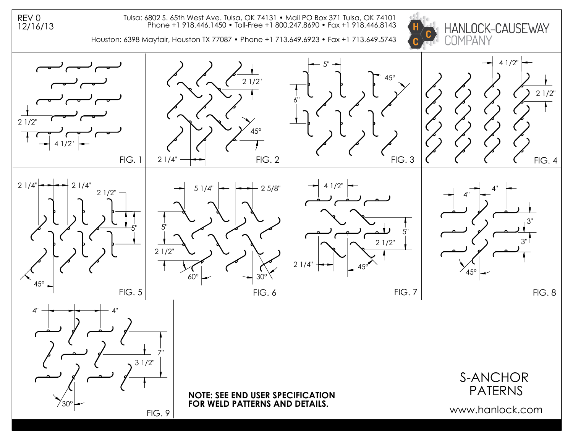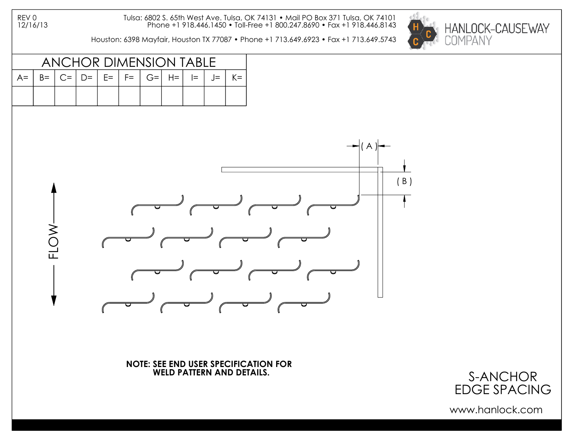REV 0 12/16/13 Tulsa: 6802 S. 65th West Ave. Tulsa, OK 74131 • Mail PO Box 371 Tulsa, OK 74101 Phone +1 918.446.1450 • Toll-Free +1 800.247.8690 • Fax +1 918.446.8143

Houston: 6398 Mayfair, Houston TX 77087 • Phone +1 713.649.6923 • Fax +1 713.649.5743





**NOTE: SEE END USER SPECIFICATION FOR WELD PATTERN AND DETAILS.**

S-ANCHOR EDGE SPACING

www.hanlock.com